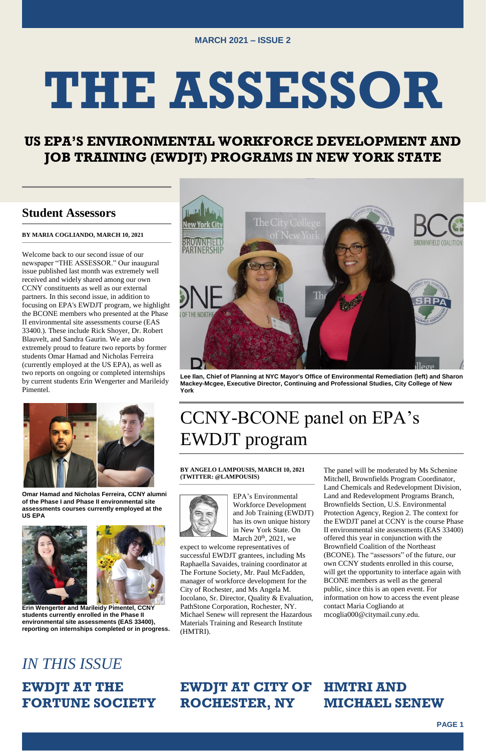

# **US EPA'S ENVIRONMENTAL WORKFORCE DEVELOPMENT AND JOB TRAINING (EWDJT) PROGRAMS IN NEW YORK STATE**

## **Student Assessors**

### **BY MARIA COGLIANDO, MARCH 10, 2021**

Welcome back to our second issue of our newspaper "THE ASSESSOR." Our inaugural issue published last month was extremely well received and widely shared among our own CCNY constituents as well as our external partners. In this second issue, in addition to focusing on EPA's EWDJT program, we highlight the BCONE members who presented at the Phase II environmental site assessments course (EAS 33400.). These include Rick Shoyer, Dr. Robert Blauvelt, and Sandra Gaurin. We are also extremely proud to feature two reports by former students Omar Hamad and Nicholas Ferreira (currently employed at the US EPA), as well as two reports on ongoing or completed internships by current students Erin Wengerter and Marileidy Pimentel.



EPA's Environmental Workforce Development and Job Training (EWDJT) has its own unique history in New York State. On March  $20<sup>th</sup>$ ,  $2021$ , we

**Omar Hamad and Nicholas Ferreira, CCNY alumni of the Phase I and Phase II environmental site assessments courses currently employed at the US EPA**





# The City College

**Erin Wengerter and Marileidy Pimentel, CCNY students currently enrolled in the Phase II environmental site assessments (EAS 33400), reporting on internships completed or in progress.**

**Lee Ilan, Chief of Planning at NYC Mayor's Office of Environmental Remediation (left) and Sharon Mackey-Mcgee, Executive Director, Continuing and Professional Studies, City College of New York**

# CCNY-BCONE panel on EPA's EWDJT program

### **BY ANGELO LAMPOUSIS, MARCH 10, 2021 (TWITTER: @LAMPOUSIS)**



expect to welcome representatives of

successful EWDJT grantees, including Ms Raphaella Savaides, training coordinator at The Fortune Society, Mr. Paul McFadden, manager of workforce development for the City of Rochester, and Ms Angela M. Iocolano, Sr. Director, Quality & Evaluation, PathStone Corporation, Rochester, NY. Michael Senew will represent the Hazardous Materials Training and Research Institute (HMTRI).

The panel will be moderated by Ms Schenine Mitchell, Brownfields Program Coordinator, Land Chemicals and Redevelopment Division, Land and Redevelopment Programs Branch, Brownfields Section, U.S. Environmental Protection Agency, Region 2. The context for the EWDJT panel at CCNY is the course Phase II environmental site assessments (EAS 33400) offered this year in conjunction with the Brownfield Coalition of the Northeast (BCONE). The "assessors" of the future, our own CCNY students enrolled in this course, will get the opportunity to interface again with BCONE members as well as the general public, since this is an open event. For information on how to access the event please contact Maria Cogliando at mcoglia000@citymail.cuny.edu.

# *IN THIS ISSUE*

# **EWDJT AT THE FORTUNE SOCIETY**

### **EWDJT AT CITY OF ROCHESTER, NY HMTRI AND MICHAEL SENEW**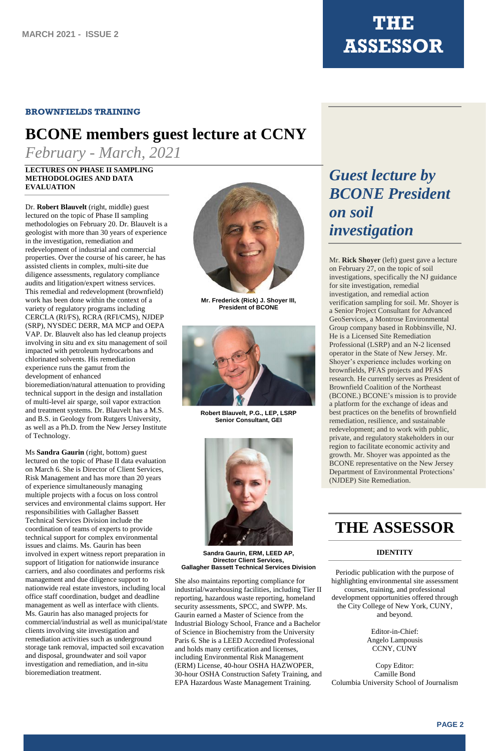### **BROWNFIELDS TRAINING**

# **BCONE members guest lecture at CCNY**

*February - March, 2021*

# *Guest lecture by BCONE President on soil investigation*

Mr. **Rick Shoyer** (left) guest gave a lecture on February 27, on the topic of soil investigations, specifically the NJ guidance for site investigation, remedial investigation, and remedial action verification sampling for soil. Mr. Shoyer is a Senior Project Consultant for Advanced GeoServices, a Montrose Environmental Group company based in Robbinsville, NJ. He is a Licensed Site Remediation Professional (LSRP) and an N-2 licensed operator in the State of New Jersey. Mr. Shoyer's experience includes working on brownfields, PFAS projects and PFAS research. He currently serves as President of Brownfield Coalition of the Northeast (BCONE.) BCONE's mission is to provide a platform for the exchange of ideas and best practices on the benefits of brownfield remediation, resilience, and sustainable redevelopment; and to work with public, private, and regulatory stakeholders in our region to facilitate economic activity and growth. Mr. Shoyer was appointed as the BCONE representative on the New Jersey Department of Environmental Protections' (NJDEP) Site Remediation.

# **THE ASSESSOR**

### **IDENTITY**

Periodic publication with the purpose of highlighting environmental site assessment courses, training, and professional development opportunities offered through the City College of New York, CUNY, and beyond.

> Editor-in-Chief: Angelo Lampousis CCNY, CUNY

Copy Editor: Camille Bond Columbia University School of Journalism

### **LECTURES ON PHASE II SAMPLING METHODOLOGIES AND DATA EVALUATION**

Dr. **Robert Blauvelt** (right, middle) guest lectured on the topic of Phase II sampling methodologies on February 20. Dr. Blauvelt is a geologist with more than 30 years of experience in the investigation, remediation and redevelopment of industrial and commercial properties. Over the course of his career, he has assisted clients in complex, multi-site due diligence assessments, regulatory compliance audits and litigation/expert witness services. This remedial and redevelopment (brownfield) work has been done within the context of a variety of regulatory programs including CERCLA (RI/FS), RCRA (RFI/CMS), NJDEP (SRP), NYSDEC DERR, MA MCP and OEPA VAP. Dr. Blauvelt also has led cleanup projects involving in situ and ex situ management of soil impacted with petroleum hydrocarbons and chlorinated solvents. His remediation experience runs the gamut from the development of enhanced

bioremediation/natural attenuation to providing technical support in the design and installation of multi-level air sparge, soil vapor extraction and treatment systems. Dr. Blauvelt has a M.S. and B.S. in Geology from Rutgers University, as well as a Ph.D. from the New Jersey Institute of Technology.

Ms **Sandra Gaurin** (right, bottom) guest lectured on the topic of Phase II data evaluation on March 6. She is Director of Client Services, Risk Management and has more than 20 years of experience simultaneously managing multiple projects with a focus on loss control services and environmental claims support. Her responsibilities with Gallagher Bassett Technical Services Division include the coordination of teams of experts to provide technical support for complex environmental issues and claims. Ms. Gaurin has been involved in expert witness report preparation in support of litigation for nationwide insurance carriers, and also coordinates and performs risk management and due diligence support to nationwide real estate investors, including local office staff coordination, budget and deadline management as well as interface with clients. Ms. Gaurin has also managed projects for commercial/industrial as well as municipal/state clients involving site investigation and remediation activities such as underground storage tank removal, impacted soil excavation and disposal, groundwater and soil vapor investigation and remediation, and in-situ bioremediation treatment.



**Mr. Frederick (Rick) J. Shoyer III, President of BCONE**



**Robert Blauvelt, P.G., LEP, LSRP Senior Consultant, GEI** 



### **Sandra Gaurin, ERM, LEED AP, Director Client Services, Gallagher Bassett Technical Services Division**

She also maintains reporting compliance for industrial/warehousing facilities, including Tier II reporting, hazardous waste reporting, homeland security assessments, SPCC, and SWPP. Ms. Gaurin earned a Master of Science from the Industrial Biology School, France and a Bachelor of Science in Biochemistry from the University Paris 6. She is a LEED Accredited Professional and holds many certification and licenses, including Environmental Risk Management (ERM) License, 40-hour OSHA HAZWOPER, 30-hour OSHA Construction Safety Training, and EPA Hazardous Waste Management Training.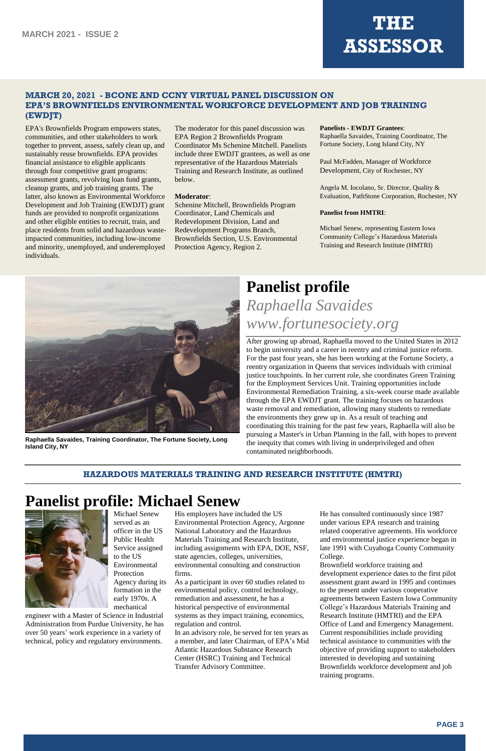### **MARCH 20, 2021 - BCONE AND CCNY VIRTUAL PANEL DISCUSSION ON EPA'S BROWNFIELDS ENVIRONMENTAL WORKFORCE DEVELOPMENT AND JOB TRAINING (EWDJT)**

EPA's Brownfields Program empowers states, communities, and other stakeholders to work together to prevent, assess, safely clean up, and sustainably reuse brownfields. EPA provides financial assistance to eligible applicants through four competitive grant programs: assessment grants, revolving loan fund grants, cleanup grants, and job training grants. The latter, also known as Environmental Workforce Development and Job Training (EWDJT) grant funds are provided to nonprofit organizations and other eligible entities to recruit, train, and place residents from solid and hazardous wasteimpacted communities, including low-income and minority, unemployed, and underemployed individuals.

The moderator for this panel discussion was EPA Region 2 Brownfields Program Coordinator Ms Schenine Mitchell. Panelists include three EWDJT grantees, as well as one representative of the Hazardous Materials Training and Research Institute, as outlined below.

### **Moderator**:

Schenine Mitchell, Brownfields Program Coordinator, Land Chemicals and Redevelopment Division, Land and Redevelopment Programs Branch, Brownfields Section, U.S. Environmental Protection Agency, Region 2.

### **Panelists - EWDJT Grantees**:

Raphaella Savaides, Training Coordinator, The Fortune Society, Long Island City, NY

Paul McFadden, Manager of Workforce Development, City of Rochester, NY

Angela M. Iocolano, Sr. Director, Quality & Evaluation, PathStone Corporation, Rochester, NY

### **Panelist from HMTRI**:

Michael Senew, representing Eastern Iowa Community College's Hazardous Materials Training and Research Institute (HMTRI)



**Raphaella Savaides, Training Coordinator, The Fortune Society, Long Island City, NY**

# **Panelist profile** *Raphaella Savaides www.fortunesociety.org*

After growing up abroad, Raphaella moved to the United States in 2012 to begin university and a career in reentry and criminal justice reform. For the past four years, she has been working at the Fortune Society, a reentry organization in Queens that services individuals with criminal justice touchpoints. In her current role, she coordinates Green Training for the Employment Services Unit. Training opportunities include Environmental Remediation Training, a six-week course made available through the EPA EWDJT grant. The training focuses on hazardous waste removal and remediation, allowing many students to remediate the environments they grew up in. As a result of teaching and coordinating this training for the past few years, Raphaella will also be pursuing a Master's in Urban Planning in the fall, with hopes to prevent the inequity that comes with living in underprivileged and often contaminated neighborhoods.

### **HAZARDOUS MATERIALS TRAINING AND RESEARCH INSTITUTE (HMTRI)**

# **Panelist profile: Michael Senew**



Michael Senew served as an officer in the US Public Health Service assigned

to the US Environmental Protection Agency during its formation in the early 1970s. A mechanical

engineer with a Master of Science in Industrial Administration from Purdue University, he has over 50 years' work experience in a variety of technical, policy and regulatory environments.

His employers have included the US Environmental Protection Agency, Argonne National Laboratory and the Hazardous Materials Training and Research Institute, including assignments with EPA, DOE, NSF,

state agencies, colleges, universities, environmental consulting and construction firms.

As a participant in over 60 studies related to environmental policy, control technology, remediation and assessment, he has a historical perspective of environmental systems as they impact training, economics, regulation and control.

In an advisory role, he served for ten years as a member, and later Chairman, of EPA's Mid Atlantic Hazardous Substance Research Center (HSRC) Training and Technical Transfer Advisory Committee.

He has consulted continuously since 1987 under various EPA research and training related cooperative agreements. His workforce and environmental justice experience began in late 1991 with Cuyahoga County Community

### College.

Brownfield workforce training and development experience dates to the first pilot assessment grant award in 1995 and continues to the present under various cooperative agreements between Eastern Iowa Community College's Hazardous Materials Training and Research Institute (HMTRI) and the EPA Office of Land and Emergency Management. Current responsibilities include providing technical assistance to communities with the objective of providing support to stakeholders interested in developing and sustaining Brownfields workforce development and job training programs.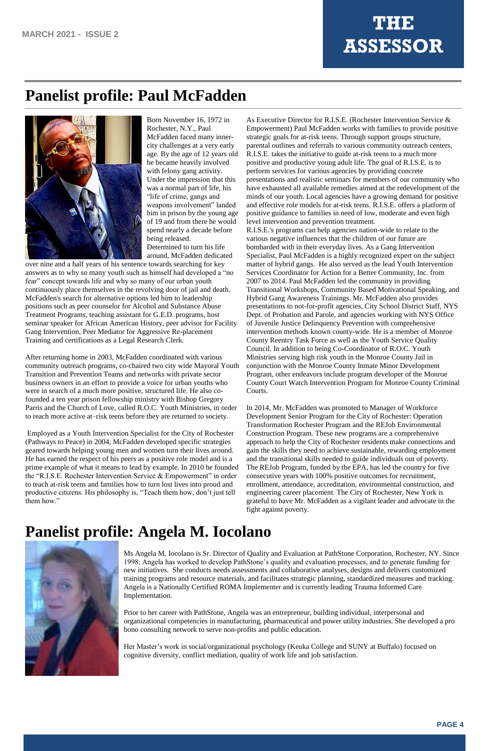# **Panelist profile: Paul McFadden**



Born November 16, 1972 in Rochester, N.Y., Paul McFadden faced many innercity challenges at a very early age. By the age of 12 years old he became heavily involved with felony gang activity. Under the impression that this was a normal part of life, his "life of crime, gangs and weapons involvement" landed him in prison by the young age of 19 and from there he would spend nearly a decade before being released. Determined to turn his life around, McFadden dedicated

over nine and a half years of his sentence towards searching for key answers as to why so many youth such as himself had developed a "no fear" concept towards life and why so many of our urban youth continuously place themselves in the revolving door of jail and death. McFadden's search for alternative options led him to leadership positions such as peer counselor for Alcohol and Substance Abuse Treatment Programs, teaching assistant for G.E.D. programs, host seminar speaker for African American History, peer advisor for Facility Gang Intervention, Peer Mediator for Aggressive Re-placement Training and certifications as a Legal Research Clerk.

After returning home in 2003, McFadden coordinated with various community outreach programs, co-chaired two city wide Mayoral Youth Transition and Prevention Teams and networks with private sector business owners in an effort to provide a voice for urban youths who were in search of a much more positive, structured life. He also cofounded a ten year prison fellowship ministry with Bishop Gregory Parris and the Church of Love, called R.O.C. Youth Ministries, in order to reach more active at–risk teens before they are returned to society.

Employed as a Youth Intervention Specialist for the City of Rochester (Pathways to Peace) in 2004, McFadden developed specific strategies geared towards helping young men and women turn their lives around. He has earned the respect of his peers as a positive role model and is a prime example of what it means to lead by example. In 2010 he founded the "R.I.S.E. Rochester Intervention Service & Empowerment" in order to teach at-risk teens and families how to turn lost lives into proud and productive citizens. His philosophy is, "Teach them how, don't just tell them how."

As Executive Director for R.I.S.E. (Rochester Intervention Service & Empowerment) Paul McFadden works with families to provide positive strategic goals for at-risk teens. Through support groups structure, parental outlines and referrals to various community outreach centers, R.I.S.E. takes the initiative to guide at-risk teens to a much more positive and productive young adult life. The goal of R.I.S.E. is to perform services for various agencies by providing concrete presentations and realistic seminars for members of our community who have exhausted all available remedies aimed at the redevelopment of the minds of our youth. Local agencies have a growing demand for positive and effective role models for at-risk teens. R.I.S.E. offers a platform of positive guidance to families in need of low, moderate and even high level intervention and prevention treatment.

R.I.S.E.'s programs can help agencies nation-wide to relate to the various negative influences that the children of our future are bombarded with in their everyday lives. As a Gang Intervention Specialist, Paul McFadden is a highly recognized expert on the subject matter of hybrid gangs. He also served as the lead Youth Intervention Services Coordinator for Action for a Better Community, Inc. from 2007 to 2014. Paul McFadden led the community in providing Transitional Workshops, Community Based Motivational Speaking, and Hybrid Gang Awareness Trainings. Mr. McFadden also provides presentations to not-for-profit agencies, City School District Staff, NYS Dept. of Probation and Parole, and agencies working with NYS Office of Juvenile Justice Delinquency Prevention with comprehensive intervention methods known county-wide. He is a member of Monroe County Reentry Task Force as well as the Youth Service Quality Council. In addition to being Co-Coordinator of R.O.C. Youth Ministries serving high risk youth in the Monroe County Jail in conjunction with the Monroe County Inmate Minor Development Program, other endeavors include program developer of the Monroe County Court Watch Intervention Program for Monroe County Criminal Courts.

In 2014, Mr. McFadden was promoted to Manager of Workforce Development Senior Program for the City of Rochester: Operation Transformation Rochester Program and the REJob Environmental Construction Program. These new programs are a comprehensive approach to help the City of Rochester residents make connections and gain the skills they need to achieve sustainable, rewarding employment and the transitional skills needed to guide individuals out of poverty. The REJob Program, funded by the EPA, has led the country for five consecutive years with 100% positive outcomes for recruitment, enrollment, attendance, accreditation, environmental construction, and engineering career placement. The City of Rochester, New York is grateful to have Mr. McFadden as a vigilant leader and advocate in the fight against poverty.

# **Panelist profile: Angela M. Iocolano**

Ms Angela M. Iocolano is Sr. Director of Quality and Evaluation at PathStone Corporation, Rochester, NY. Since 1998, Angela has worked to develop PathStone's quality and evaluation processes, and to generate funding for new initiatives. She conducts needs assessments and collaborative analyses, designs and delivers customized training programs and resource materials, and facilitates strategic planning, standardized measures and tracking. Angela is a Nationally Certified ROMA Implementer and is currently leading Trauma Informed Care Implementation.

Prior to her career with PathStone, Angela was an entrepreneur, building individual, interpersonal and organizational competencies in manufacturing, pharmaceutical and power utility industries. She developed a pro bono consulting network to serve non-profits and public education.

Her Master's work in social/organizational psychology (Keuka College and SUNY at Buffalo) focused on cognitive diversity, conflict mediation, quality of work life and job satisfaction.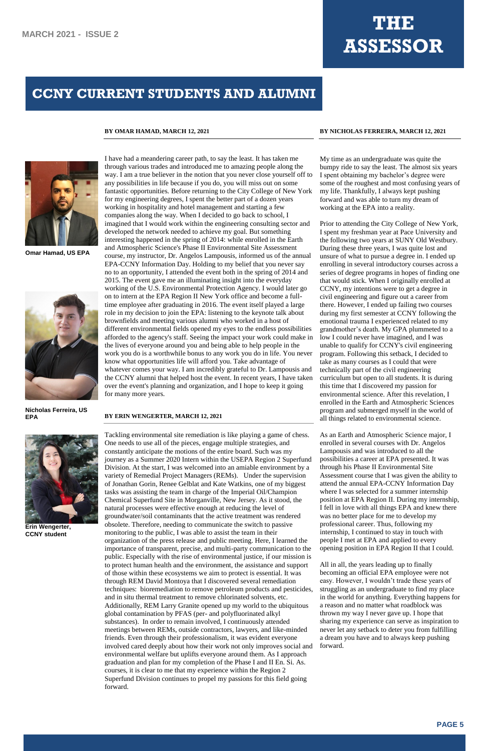

**Omar Hamad, US EPA**



**Nicholas Ferreira, US EPA**



**Erin Wengerter, CCNY student**

### **BY OMAR HAMAD, MARCH 12, 2021**

I have had a meandering career path, to say the least. It has taken me through various trades and introduced me to amazing people along the

way. I am a true believer in the notion that you never close yourself off to any possibilities in life because if you do, you will miss out on some fantastic opportunities. Before returning to the City College of New York for my engineering degrees, I spent the better part of a dozen years working in hospitality and hotel management and starting a few companies along the way. When I decided to go back to school, I imagined that I would work within the engineering consulting sector and developed the network needed to achieve my goal. But something interesting happened in the spring of 2014: while enrolled in the Earth and Atmospheric Science's Phase II Environmental Site Assessment course, my instructor, Dr. Angelos Lampousis, informed us of the annual EPA-CCNY Information Day. Holding to my belief that you never say no to an opportunity, I attended the event both in the spring of 2014 and 2015. The event gave me an illuminating insight into the everyday working of the U.S. Environmental Protection Agency. I would later go on to intern at the EPA Region II New York office and become a fulltime employee after graduating in 2016. The event itself played a large role in my decision to join the EPA: listening to the keynote talk about brownfields and meeting various alumni who worked in a host of different environmental fields opened my eyes to the endless possibilities afforded to the agency's staff. Seeing the impact your work could make in the lives of everyone around you and being able to help people in the work you do is a worthwhile bonus to any work you do in life. You never know what opportunities life will afford you. Take advantage of whatever comes your way. I am incredibly grateful to Dr. Lampousis and the CCNY alumni that helped host the event. In recent years, I have taken over the event's planning and organization, and I hope to keep it going for many more years.

### **BY ERIN WENGERTER, MARCH 12, 2021**

Tackling environmental site remediation is like playing a game of chess. One needs to use all of the pieces, engage multiple strategies, and constantly anticipate the motions of the entire board. Such was my journey as a Summer 2020 Intern within the USEPA Region 2 Superfund Division. At the start, I was welcomed into an amiable environment by a variety of Remedial Project Managers (REMs). Under the supervision of Jonathan Gorin, Renee Gelblat and Kate Watkins, one of my biggest tasks was assisting the team in charge of the Imperial Oil/Champion Chemical Superfund Site in Morganville, New Jersey. As it stood, the natural processes were effective enough at reducing the level of groundwater/soil contaminants that the active treatment was rendered obsolete. Therefore, needing to communicate the switch to passive monitoring to the public, I was able to assist the team in their organization of the press release and public meeting. Here, I learned the

importance of transparent, precise, and multi-party communication to the public. Especially with the rise of environmental justice, if our mission is to protect human health and the environment, the assistance and support of those within these ecosystems we aim to protect is essential. It was through REM David Montoya that I discovered several remediation techniques: bioremediation to remove petroleum products and pesticides, and in situ thermal treatment to remove chlorinated solvents, etc. Additionally, REM Larry Granite opened up my world to the ubiquitous global contamination by PFAS (per- and polyfluorinated alkyl substances). In order to remain involved, I continuously attended meetings between REMs, outside contractors, lawyers, and like-minded friends. Even through their professionalism, it was evident everyone involved cared deeply about how their work not only improves social and environmental welfare but uplifts everyone around them. As I approach graduation and plan for my completion of the Phase I and II En. Si. As. courses, it is clear to me that my experience within the Region 2 Superfund Division continues to propel my passions for this field going forward.

### **BY NICHOLAS FERREIRA, MARCH 12, 2021**

My time as an undergraduate was quite the bumpy ride to say the least. The almost six years I spent obtaining my bachelor's degree were some of the roughest and most confusing years of my life. Thankfully, I always kept pushing forward and was able to turn my dream of working at the EPA into a reality.

Prior to attending the City College of New York, I spent my freshman year at Pace University and the following two years at SUNY Old Westbury. During these three years, I was quite lost and unsure of what to pursue a degree in. I ended up enrolling in several introductory courses across a series of degree programs in hopes of finding one that would stick. When I originally enrolled at CCNY, my intentions were to get a degree in civil engineering and figure out a career from there. However, I ended up failing two courses during my first semester at CCNY following the emotional trauma I experienced related to my grandmother's death. My GPA plummeted to a low I could never have imagined, and I was unable to qualify for CCNY's civil engineering program. Following this setback, I decided to take as many courses as I could that were technically part of the civil engineering curriculum but open to all students. It is during this time that I discovered my passion for environmental science. After this revelation, I enrolled in the Earth and Atmospheric Sciences program and submerged myself in the world of all things related to environmental science.

As an Earth and Atmospheric Science major, I enrolled in several courses with Dr. Angelos Lampousis and was introduced to all the possibilities a career at EPA presented. It was through his Phase II Environmental Site Assessment course that I was given the ability to attend the annual EPA-CCNY Information Day where I was selected for a summer internship position at EPA Region II. During my internship, I fell in love with all things EPA and knew there was no better place for me to develop my professional career. Thus, following my internship, I continued to stay in touch with people I met at EPA and applied to every opening position in EPA Region II that I could.

All in all, the years leading up to finally becoming an official EPA employee were not easy. However, I wouldn't trade these years of struggling as an undergraduate to find my place in the world for anything. Everything happens for a reason and no matter what roadblock was thrown my way I never gave up. I hope that sharing my experience can serve as inspiration to never let any setback to deter you from fulfilling a dream you have and to always keep pushing forward.

# **CCNY CURRENT STUDENTS AND ALUMNI**